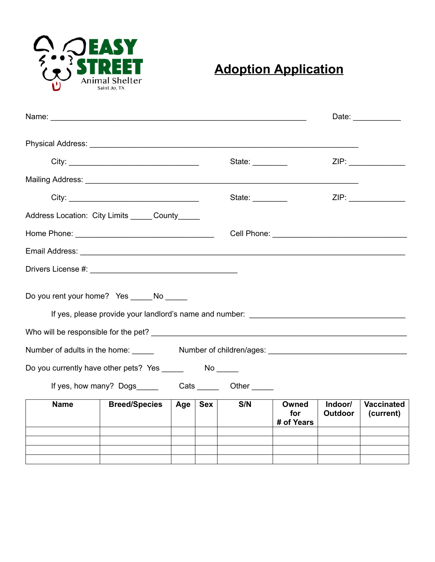

## **Adoption Application**

|                                                                                                               |                                                                |     |                 |     |                            |                           | Date: ____________             |
|---------------------------------------------------------------------------------------------------------------|----------------------------------------------------------------|-----|-----------------|-----|----------------------------|---------------------------|--------------------------------|
| Physical Address: Universe of the Contract of the Contract of the Contract of the Contract of the Contract of |                                                                |     |                 |     |                            |                           |                                |
|                                                                                                               |                                                                |     | State: ________ |     |                            | ZIP:                      |                                |
|                                                                                                               |                                                                |     |                 |     |                            |                           |                                |
|                                                                                                               |                                                                |     | State: $\_\_$   |     |                            | ZIP:                      |                                |
| Address Location: City Limits ______ County_____                                                              |                                                                |     |                 |     |                            |                           |                                |
|                                                                                                               |                                                                |     |                 |     |                            |                           |                                |
|                                                                                                               |                                                                |     |                 |     |                            |                           |                                |
|                                                                                                               |                                                                |     |                 |     |                            |                           |                                |
| Do you rent your home? Yes ______ No ______                                                                   |                                                                |     |                 |     |                            |                           |                                |
| Number of adults in the home: _____                                                                           |                                                                |     |                 |     |                            |                           |                                |
|                                                                                                               |                                                                |     |                 |     |                            |                           |                                |
|                                                                                                               | If yes, how many? Dogs____________Cats __________Other _______ |     |                 |     |                            |                           |                                |
| <b>Name</b>                                                                                                   | <b>Breed/Species</b>                                           | Age | <b>Sex</b>      | S/N | Owned<br>for<br># of Years | Indoor/<br><b>Outdoor</b> | <b>Vaccinated</b><br>(current) |
|                                                                                                               |                                                                |     |                 |     |                            |                           |                                |
|                                                                                                               |                                                                |     |                 |     |                            |                           |                                |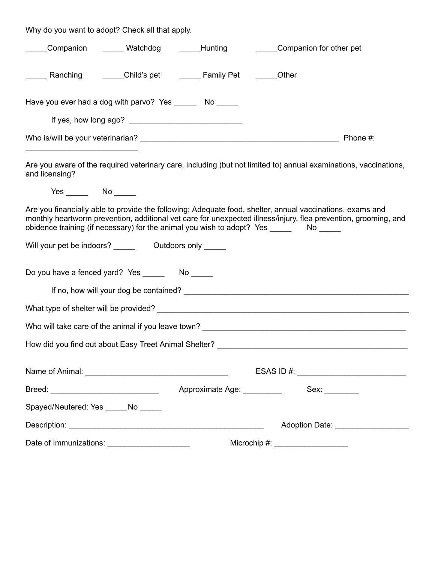Why do you want to adopt? Check all that apply.

|                                    |                                                          | Companion ______ Watchdog ______ Hunting                              | Companion for other pet                                                                                                                                                                                                                                                                                                   |  |  |  |  |
|------------------------------------|----------------------------------------------------------|-----------------------------------------------------------------------|---------------------------------------------------------------------------------------------------------------------------------------------------------------------------------------------------------------------------------------------------------------------------------------------------------------------------|--|--|--|--|
|                                    |                                                          | ______ Ranching    _____Child's pet    _____ Family Pet    _____Other |                                                                                                                                                                                                                                                                                                                           |  |  |  |  |
|                                    | Have you ever had a dog with parvo? Yes _______ No _____ |                                                                       |                                                                                                                                                                                                                                                                                                                           |  |  |  |  |
|                                    |                                                          |                                                                       |                                                                                                                                                                                                                                                                                                                           |  |  |  |  |
|                                    |                                                          |                                                                       | Phone #:                                                                                                                                                                                                                                                                                                                  |  |  |  |  |
| and licensing?                     |                                                          |                                                                       | Are you aware of the required veterinary care, including (but not limited to) annual examinations, vaccinations,                                                                                                                                                                                                          |  |  |  |  |
|                                    |                                                          |                                                                       |                                                                                                                                                                                                                                                                                                                           |  |  |  |  |
|                                    |                                                          |                                                                       | Are you financially able to provide the following: Adequate food, shelter, annual vaccinations, exams and<br>monthly heartworm prevention, additional vet care for unexpected illness/injury, flea prevention, grooming, and<br>obidence training (if necessary) for the animal you wish to adopt? Yes _________ No _____ |  |  |  |  |
|                                    |                                                          |                                                                       |                                                                                                                                                                                                                                                                                                                           |  |  |  |  |
|                                    |                                                          |                                                                       |                                                                                                                                                                                                                                                                                                                           |  |  |  |  |
|                                    |                                                          |                                                                       |                                                                                                                                                                                                                                                                                                                           |  |  |  |  |
|                                    |                                                          |                                                                       |                                                                                                                                                                                                                                                                                                                           |  |  |  |  |
|                                    |                                                          |                                                                       |                                                                                                                                                                                                                                                                                                                           |  |  |  |  |
|                                    |                                                          |                                                                       |                                                                                                                                                                                                                                                                                                                           |  |  |  |  |
|                                    |                                                          |                                                                       | ESAS ID #: $\_$                                                                                                                                                                                                                                                                                                           |  |  |  |  |
|                                    |                                                          | Approximate Age: __________                                           | Sex: ________                                                                                                                                                                                                                                                                                                             |  |  |  |  |
| Spayed/Neutered: Yes _____No _____ |                                                          |                                                                       |                                                                                                                                                                                                                                                                                                                           |  |  |  |  |
|                                    |                                                          |                                                                       | Adoption Date: __________________                                                                                                                                                                                                                                                                                         |  |  |  |  |
|                                    | Date of Immunizations: ______________________            | Microchip #: <u>__________________</u>                                |                                                                                                                                                                                                                                                                                                                           |  |  |  |  |